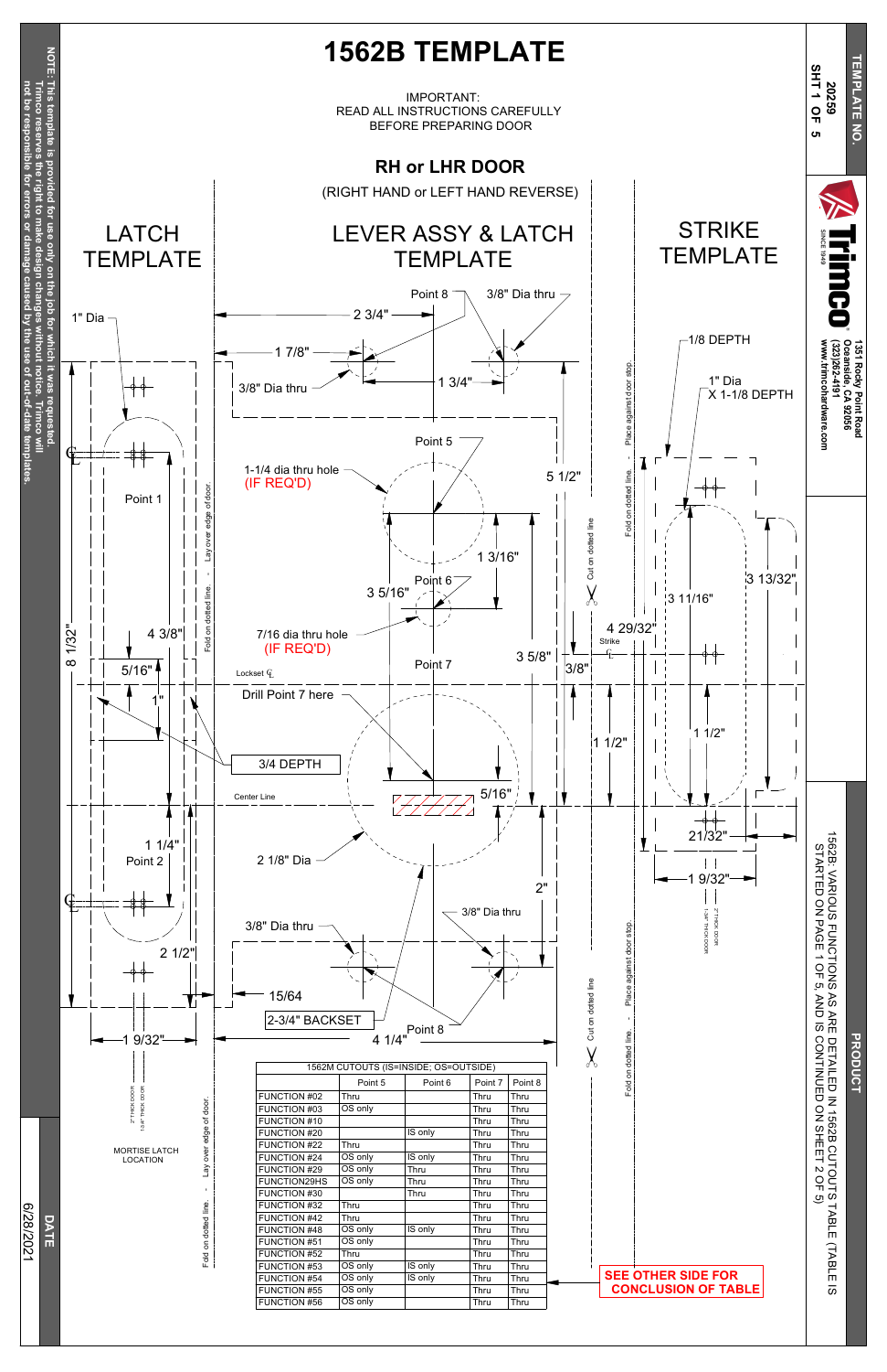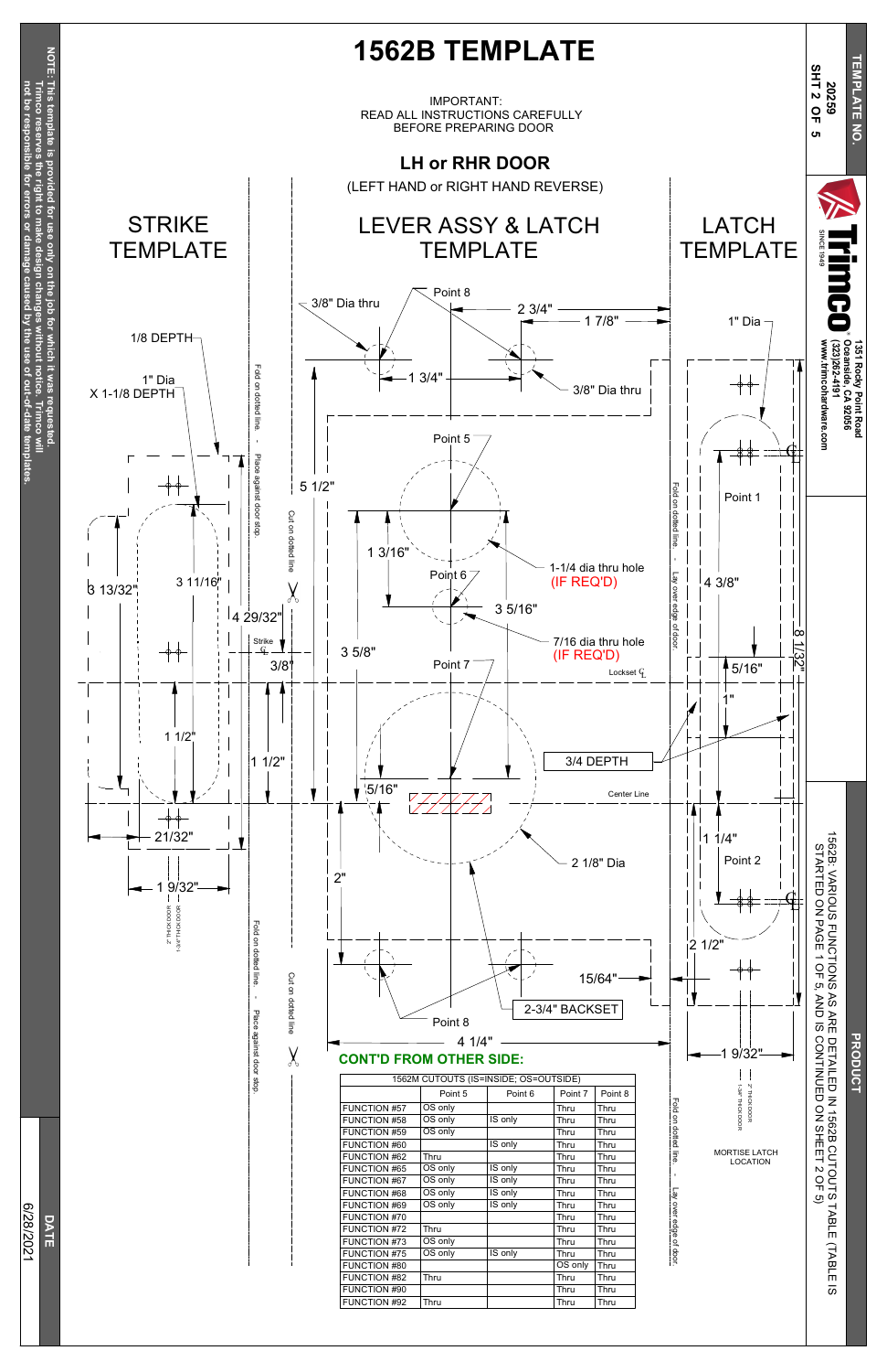| כ<br>٦ |  |
|--------|--|
|        |  |
|        |  |
|        |  |
|        |  |
|        |  |
|        |  |

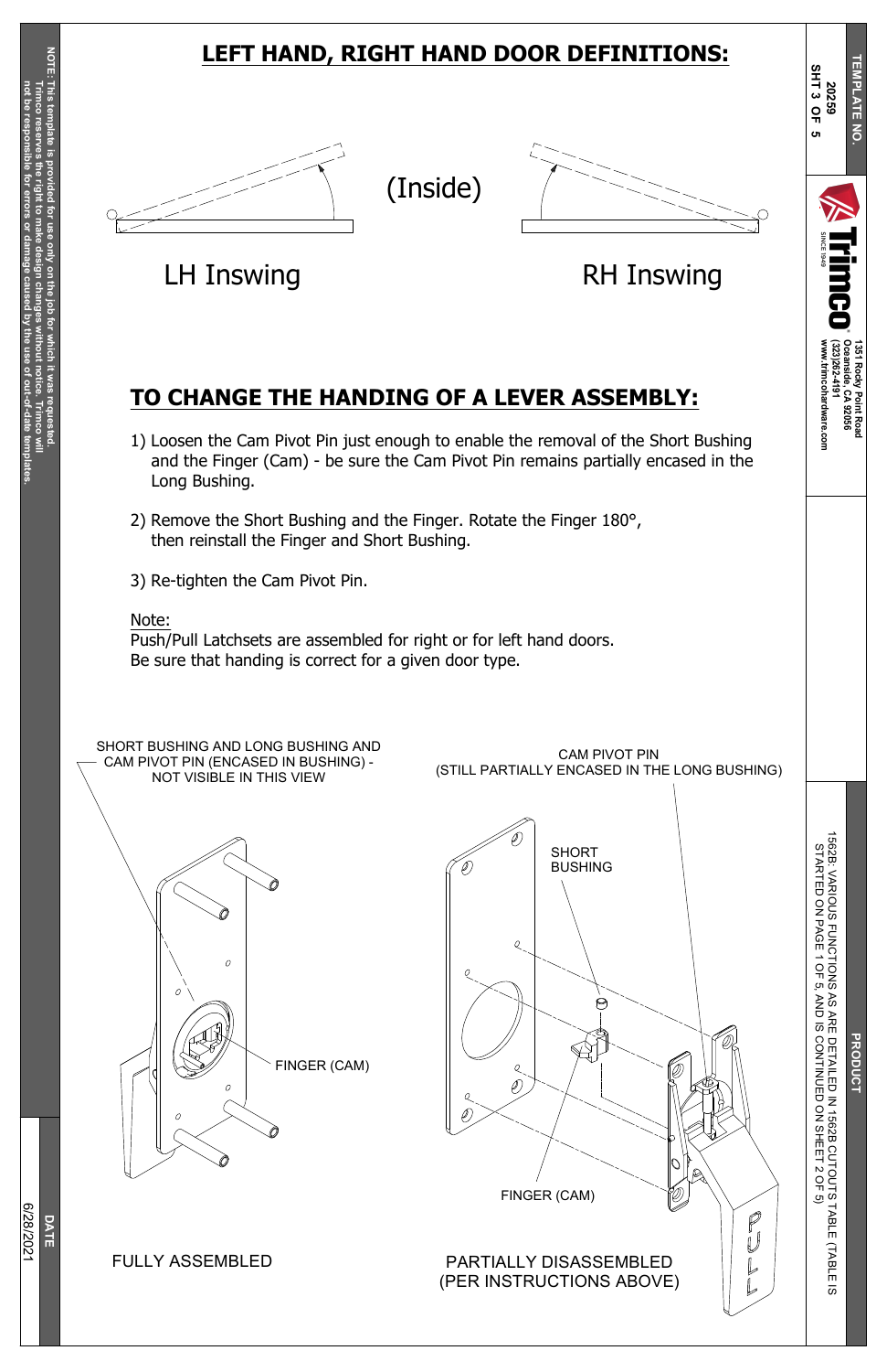**1351**

**Rocky**

**Point**

**Road**

K<br>R<br>E D E T AILE D z 15 6 2 B C U T O U T S T A BLE (T A BLE  $\overline{\omega}$ D ភ C O N TIN U E D o<br>Z SHEET  $\mathsf{\sim}$ O F ە

**Oceanside,**

**C A 92056**

ww.trimcohardware.com **w.trimcohardware.com**

**(323)262-4191**



**T**

**EMPLATE** 

**N O.**

**N**

15 6 2 B: V A RIO U S F U N C TIO N S S T A R T E D O N P A G E 1 O F ়্য

**D**<br>**P** 

ত<br>১

**S H T 3 O F 5**

8/2 0 21

SHORT BUSHING AND LONG BUSHING AND CAM PIVOT PIN (ENCASED IN BUSHING) - NOT VISIBLE IN THIS VIEW





CAM PIVOT PIN (STILL PARTIALLY ENCASED IN THE LONG BUSHING)

## **LEFT HAND, RIGHT HAND DOOR DEFINITIONS:**

(Inside)





LH Inswing **EXAMPLE RH Inswing** 

### **TO CHANGE THE HANDING OF A LEVER ASSEMBLY:**

- 1) Loosen the Cam Pivot Pin just enough to enable the removal of the Short Bushing and the Finger (Cam) - be sure the Cam Pivot Pin remains partially encased in the Long Bushing.
- 2) Remove the Short Bushing and the Finger. Rotate the Finger 180°, then reinstall the Finger and Short Bushing.
- 3) Re-tighten the Cam Pivot Pin.

### Note:

Push/Pull Latchsets are assembled for right or for left hand doors. Be sure that handing is correct for a given door type.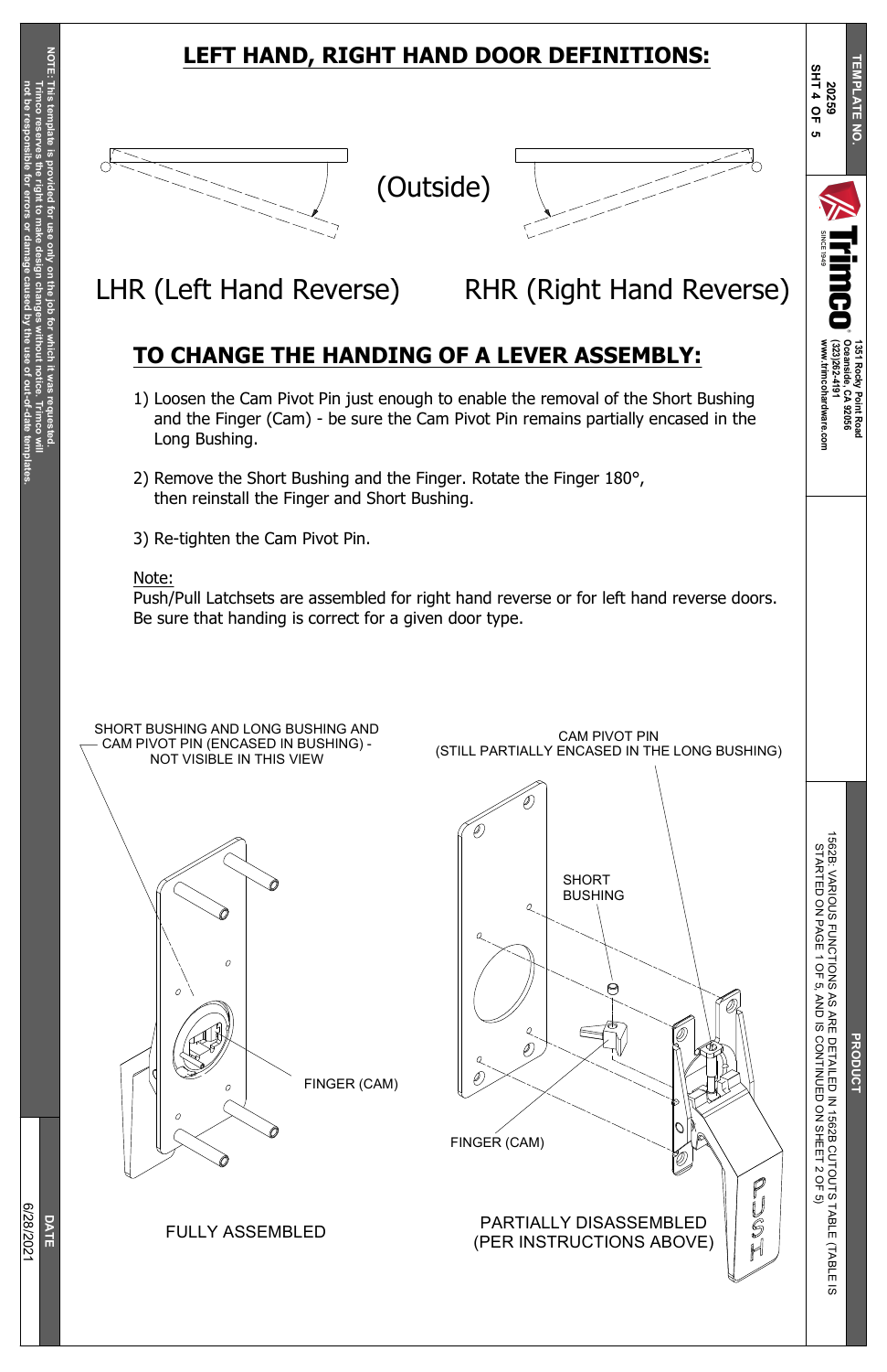**1351**

**Rocky**

**Point**

**Road**

**Oceanside,**

**C A 92056**

ww.trimcohardware.com **w.trimcohardware.com**

**(323)262-4191**



**T**

**EMPLATE** 

**N O.**

# K<br>R<br>E D E T AILE D z 15 6 2 B C U T O U T S T A BLE (T A BLE

**S H T 4 O F 5**



## **LEFT HAND, RIGHT HAND DOOR DEFINITIONS:**

## **TO CHANGE THE HANDING OF A LEVER ASSEMBLY:**

- 1) Loosen the Cam Pivot Pin just enough to enable the removal of the Short Bushing and the Finger (Cam) - be sure the Cam Pivot Pin remains partially encased in the Long Bushing.
- 2) Remove the Short Bushing and the Finger. Rotate the Finger 180°, then reinstall the Finger and Short Bushing.

3) Re-tighten the Cam Pivot Pin.

### Note:

Push/Pull Latchsets are assembled for right hand reverse or for left hand reverse doors. Be sure that handing is correct for a given door type.





LHR (Left Hand Reverse) RHR (Right Hand Reverse)